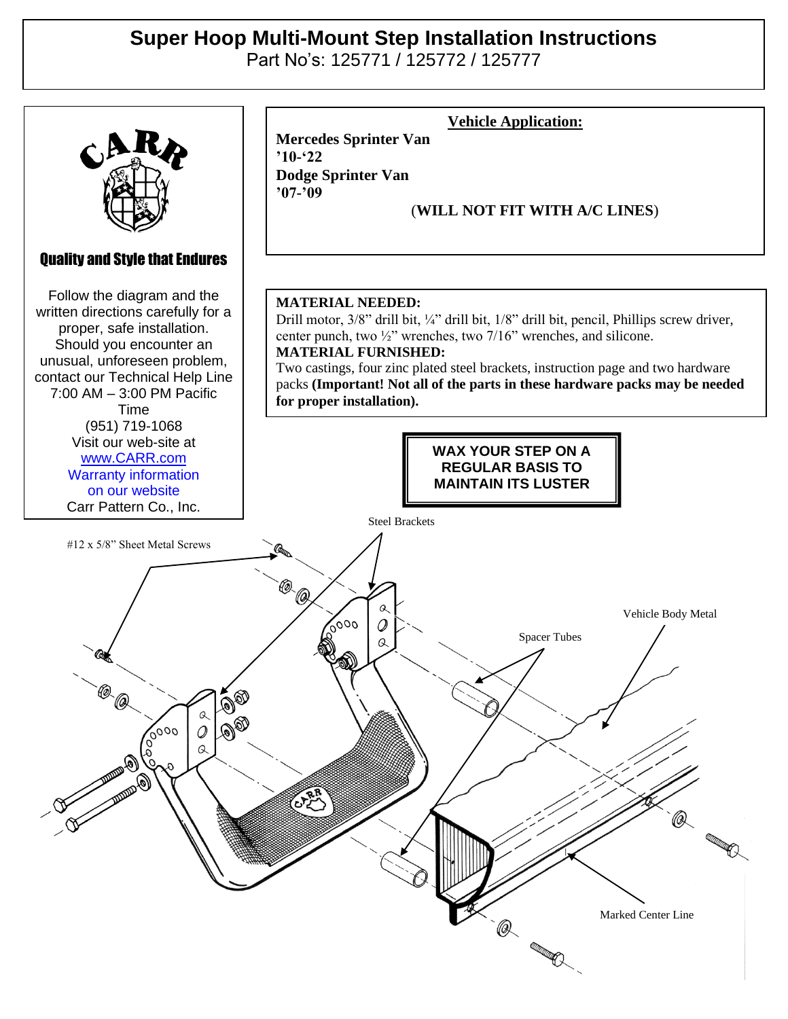## **Super Hoop Multi-Mount Step Installation Instructions**

Part No's: 125771 / 125772 / 125777